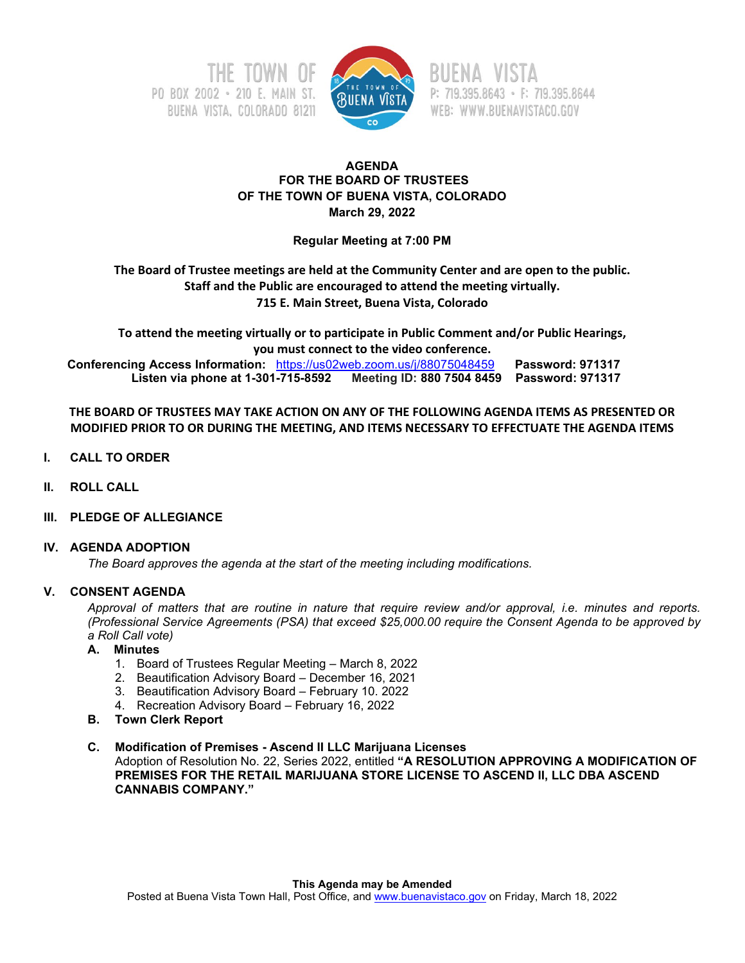



P: 719.395.8643 · F: 719.395.8644 WEB: WWW.BUENAVISTACO.GOV

# **AGENDA FOR THE BOARD OF TRUSTEES OF THE TOWN OF BUENA VISTA, COLORADO March 29, 2022**

**Regular Meeting at 7:00 PM**

# **The Board of Trustee meetings are held at the Community Center and are open to the public. Staff and the Public are encouraged to attend the meeting virtually. 715 E. Main Street, Buena Vista, Colorado**

**To attend the meeting virtually or to participate in Public Comment and/or Public Hearings, you must connect to the video conference. Conferencing Access Information:** <https://us02web.zoom.us/j/88075048459>**Password: 971317 Listen via phone at 1-301-715-8592 Meeting ID: 880 7504 8459 Password: 971317**

**THE BOARD OF TRUSTEES MAY TAKE ACTION ON ANY OF THE FOLLOWING AGENDA ITEMS AS PRESENTED OR MODIFIED PRIOR TO OR DURING THE MEETING, AND ITEMS NECESSARY TO EFFECTUATE THE AGENDA ITEMS**

- **I. CALL TO ORDER**
- **II. ROLL CALL**
- **III. PLEDGE OF ALLEGIANCE**

# **IV. AGENDA ADOPTION**

*The Board approves the agenda at the start of the meeting including modifications.*

# **V. CONSENT AGENDA**

*Approval of matters that are routine in nature that require review and/or approval, i.e. minutes and reports. (Professional Service Agreements (PSA) that exceed \$25,000.00 require the Consent Agenda to be approved by a Roll Call vote)*

# **A. Minutes**

- 1. Board of Trustees Regular Meeting March 8, 2022
- 2. Beautification Advisory Board December 16, 2021
- 3. Beautification Advisory Board February 10. 2022
- 4. Recreation Advisory Board February 16, 2022
- **B. Town Clerk Report**

## **C. Modification of Premises - Ascend II LLC Marijuana Licenses**

Adoption of Resolution No. 22, Series 2022, entitled **"A RESOLUTION APPROVING A MODIFICATION OF PREMISES FOR THE RETAIL MARIJUANA STORE LICENSE TO ASCEND II, LLC DBA ASCEND CANNABIS COMPANY."**